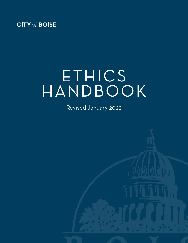

# ETHICS HANDBOOK

Revised January 2022

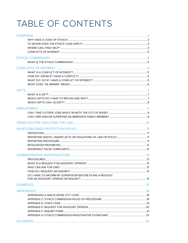## TABLE OF CONTENTS

| DO I HAVE TO INFORM MY SUPERVISOR BEFORE FILING A REQUEST |  |
|-----------------------------------------------------------|--|
|                                                           |  |
|                                                           |  |
|                                                           |  |
|                                                           |  |
|                                                           |  |
|                                                           |  |
|                                                           |  |
|                                                           |  |
|                                                           |  |
|                                                           |  |
|                                                           |  |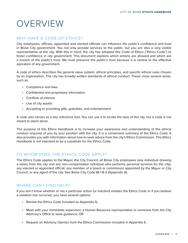## <span id="page-2-0"></span>OVERVIEW

### WHY HAVE A CODE OF ETHICS?

City employees, officers, appointed and elected officials can influence the public's confidence and trust in Boise City government. You not only provide services to the public, but you are also a very visible representative of the city. With this in mind, the city has adopted this Code of Ethics ("Ethics Code") to foster confidence in city government. This document explains which actions are allowed and which are a breach of the public's trust. We must preserve the public's trust because it is central to the effective operation of any government.

A code of ethics describes the general value system, ethical principles, and specific ethical rules chosen by an organization. The city has broadly written standards of ethical conduct. These cover several areas, such as:

- • Compliance and laws
- • Confidential and proprietary information
- • Conflicts of interest
- • Use of city assets
- • Accepting or providing gifts, gratuities, and entertainment

A code also serves as a key reference tool. You can use it to locate the laws of the city, but a code is not meant to stand alone.

The purpose of this Ethics Handbook is to increase your awareness and understanding of the ethical conduct required of you by your position with the city. It is a convenient summary of the Ethics Code. It also provides you with information about how to seek advice from the city's Ethics Commission. This Ethics Handbook is not intended to be a substitute for the Ethics Code.

## TO WHOM DOES THE ETHICS CODE APPLY?

The Ethics Code applies to the Mayor, the City Council, all Boise City employees (any individual drawing a salary from the city and any non-compensated individual who performs personal services for the city), any elected or appointed official, any member of a board or commission appointed by the Mayor or City Council, or any agent of the city. See Boise City Code §§ 1-8-2 (Appendix A).

## WHERE CAN I FIND HELP?

If you don't know whether or not a particular action (or inaction) violates the Ethics Code or if you believe a violation has occurred, you have several options:

- Review the Ethics Code included as Appendix A;
- • Meet with your immediate supervisor, a Human Resource representative or someone from the City Attorney's Office to seek guidance; OR
- • Request an Advisory Opinion from the Ethics Commission included in Appendix E.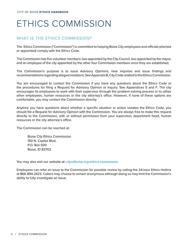## ETHICS COMMISSION

## WHAT IS THE ETHICS COMMISSION?

The Ethics Commission ("Commission") is committed to helping Boise City employees and officials (elected or appointed) comply with the Ethics Code.

The Commission has five volunteer members: two appointed by the City Council, two appointed by the mayor, and an employee of the city appointed by the other four Commission members once they are established.

The Commission's purpose is to issue Advisory Opinions, hear inquiries and issue findings and recommendations regarding alleged violations. See Appendix B, City Code related to the Ethics Commission.

You are encouraged to contact the Commission if you have any questions about the Ethics Code or the procedures for filing a Request for Advisory Opinion or Inquiry. See Appendices E and F. The city encourages its employees to work with their supervisor through the problem-solving process or to utilize other employees, human resources or the city attorney's office. However, if none of these options are comfortable, you may contact the Commission directly.

Anytime you have questions about whether a specific situation or action violates the Ethics Code, you should file a Request for Advisory Opinion with the Commission. You are always free to make this request directly to the Commission, with or without permission from your supervisor, department head, human resources or the city attorney's office.

The Commission can be reached at:

Boise City Ethics Commission 150 N. Capitol Blvd. P.O. Box 500 Boise, ID 83702

You may also visit our website at: **[cityofboise.org/ethics-commission](http://cityofboise.org/ethics-commission)**

Employees can refer an issue to the Commission for possible review by calling the 24-hour Ethics Hotline at 866-894-3423. Callers may choose to remain anonymous although doing so may limit the Commission's ability to fully investigate an issue.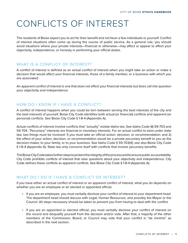## <span id="page-4-0"></span>CONFLICTS OF INTEREST

The residents of Boise expect you to act for their benefit and not favor a few individuals or yourself. Conflict of interest situations often come up during the course of public service. As a general rule, you should avoid situations where your private interests—financial or otherwise—may affect or appear to affect your objectivity, independence, or honesty in performing your official duties.

## WHAT IS A CONFLICT OF INTEREST?

A conflict of interest is defined as an actual conflict of interest when you might take an action or make a decision that would affect your financial interests, those of a family member, or a business with which you are associated.

An apparent conflict of interest is one that does not affect your financial interests but does call into question your objectivity and independence.

## HOW DO I KNOW IF I HAVE A CONFLICT?

A conflict of interest happens when you could be torn between serving the best interests of the city and the best interests of yourself. Boise City Code identifies both actual (or financial) conflicts and apparent (or personal) conflicts. See Boise City Code § 1-8-4 (Appendix A).

Actual conflicts of interest involve conflicts that "actually" violate Idaho law. See Idaho Code §§ 59-703 and 59-704. "Pecuniary" interests are financial or monetary interests. For an actual conflict to exist under state law, two things must be involved: 1) you must take an official action, decision, or recommendation; and 2) the effect of your action, decision, or recommendation would be a private pecuniary benefit to you as the decision-maker, to your family, or to your business. See Idaho Code § 59-703(4); see also Boise City Code § 1-8-4 (Appendix A). State law only concerns itself with conflicts that involve pecuniary benefits.

The Boise City Code takes further steps to protect the integrity of the process and to ensure public accountability. City Code prohibits conflicts of interest that raise questions about your objectivity and independence. City Code defines these conflicts as apparent conflicts. See Boise City Code § 1-8-4 (Appendix A).

### WHAT DO I DO IF I HAVE A CONFLICT OF INTEREST?

If you have either an actual conflict of interest or an apparent conflict of interest, what you do depends on whether you are an employee or an elected or appointed official.

- • If you are an employee, you must verbally disclose your conflict of interest to your department head. The department head should discuss with Legal, Human Resources, and possibly the Mayor or the Council. All steps necessary should be taken to prevent you from having to deal with the conflict.
- • If you are an appointed or elected official, you must verbally disclose your conflict of interest on the record and disqualify yourself from the decision and/or vote. After that, a majority of the other members of the Commission, Board, or Council may vote that your conflict is "de minimis" as described in the next section.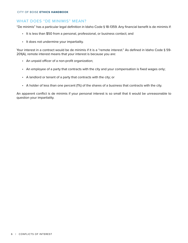#### <span id="page-5-0"></span>WHAT DOES "DE MINIMIS" MEAN?

"De minimis" has a particular legal definition in Idaho Code § 18-1359. Any financial benefit is de minimis if:

- It is less than \$50 from a personal, professional, or business contact; and
- • It does not undermine your impartiality.

Your interest in a contract would be de minimis if it is a "remote interest." As defined in Idaho Code § 59-201(A), remote interest means that your interest is because you are:

- • An unpaid officer of a non-profit organization;
- An employee of a party that contracts with the city and your compensation is fixed wages only;
- • A landlord or tenant of a party that contracts with the city; or
- • A holder of less than one percent (1%) of the shares of a business that contracts with the city.

An apparent conflict is de minimis if your personal interest is so small that it would be unreasonable to question your impartiality.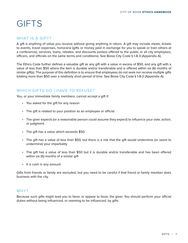## <span id="page-6-0"></span>**GIFTS**

#### WHAT IS A GIFT?

A gift is anything of value you receive without giving anything in return. A gift may include meals, tickets to events, travel expenses, honoraria (gifts or money paid in exchange for you to speak or train others at a conference), services, loans, rebates, and discounts (unless offered to the public or all city employees, officers, and officials on the same terms and conditions). See Boise City Code § 1-8-3 (Appendix A).

The Ethics Code further defines a valuable gift as any gift with a value in excess of \$50, and any gift with a value of less than \$50 where the item is durable and/or transferable and is offered within six (6) months of similar gift(s). The purpose of this definition is to ensure that employees do not seek nor receive multiple gifts totaling more than \$50 over a relatively short period of time. See Boise City Code § 1-8-2 (Appendix A).

#### WHICH GIFTS DO I HAVE TO REFUSE?

You, or your immediate family members, cannot accept a gift if:

- • You asked for the gift for any reason
- The gift is related to your position as an employee or official
- The giver expects (or a reasonable person could assume they expect) to influence your vote, action, or judgment
- The gift has a value which exceeds \$50
- • The gift has a value of less than \$50, but there is a risk that the gift would undermine (or seem to undermine) your impartiality
- The gift has a value of less than \$50 but it is durable and/or transferable and has been offered within six (6) months of a similar gift
- • It is cash in any amount

Gifts from friends or family are excluded, but you need to be careful if that friend or family member does business with the city.

#### WHY?

Because such gifts might lead you to favor, or appear to favor, the giver. You should perform your official duties without being influenced, or seeming to be influenced, by gifts.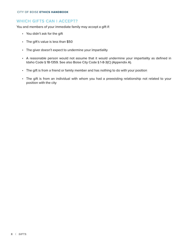#### <span id="page-7-0"></span>WHICH GIFTS CAN I ACCEPT?

You and members of your immediate family may accept a gift if:

- • You didn't ask for the gift
- The gift's value is less than \$50
- The giver doesn't expect to undermine your impartiality
- A reasonable person would not assume that it would undermine your impartiality as defined in Idaho Code § 18-1359. See also Boise City Code § 1-8-3(C) (Appendix A).
- The gift is from a friend or family member and has nothing to do with your position
- The gift is from an individual with whom you had a preexisting relationship not related to your position with the city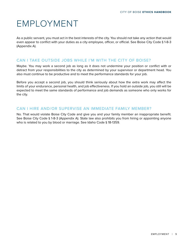## <span id="page-8-0"></span>EMPLOYMENT

As a public servant, you must act in the best interests of the city. You should not take any action that would even appear to conflict with your duties as a city employee, officer, or official. See Boise City Code § 1-8-3 (Appendix A).

#### CAN I TAKE OUTSIDE JOBS WHILE I'M WITH THE CITY OF BOISE?

Maybe. You may work a second job as long as it does not undermine your position or conflict with or detract from your responsibilities to the city as determined by your supervisor or department head. You also must continue to be productive and to meet the performance standards for your job.

Before you accept a second job, you should think seriously about how the extra work may affect the limits of your endurance, personal health, and job effectiveness. If you hold an outside job, you still will be expected to meet the same standards of performance and job demands as someone who only works for the city.

#### CAN I HIRE AND/OR SUPERVISE AN IMMEDIATE FAMILY MEMBER?

No. That would violate Boise City Code and give you and your family member an inappropriate benefit. See Boise City Code § 1-8-3 (Appendix A). State law also prohibits you from hiring or appointing anyone who is related to you by blood or marriage. See Idaho Code § 18-1359.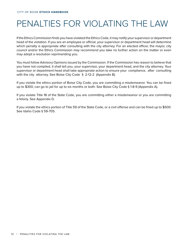## <span id="page-9-0"></span>PENALTIES FOR VIOLATING THE LAW

If the Ethics Commission finds you have violated the Ethics Code, it may notify your supervisor or department head of the violation. If you are an employee or official, your supervisor or department head will determine which penalty is appropriate after consulting with the city attorney. For an elected officer, the mayor, city council and/or the Ethics Commission may recommend you take no further action on the matter or even may adopt a resolution reprimanding you.

You must follow Advisory Opinions issued by the Commission. If the Commission has reason to believe that you have not complied, it shall tell you, your supervisor, your department head, and the city attorney. Your supervisor or department head shall take appropriate action to ensure your compliance, after consulting with the city attorney. See Boise City Code § 2-12-2 (Appendix B).

If you violate the ethics portion of Boise City Code, you are committing a misdemeanor. You can be fined up to \$300, can go to jail for up to six months or both. See Boise City Code § 1-8-9 (Appendix A).

If you violate Title 18 of the State Code, you are committing either a misdemeanor or you are committing a felony. See Appendix D.

If you violate the ethics portion of Title 59 of the State Code, or a civil offense and can be fined up to \$500. See Idaho Code § 59-705.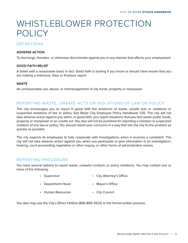## <span id="page-10-0"></span>WHISTLEBLOWER PROTECTION POLICY

## DEFINITIONS

#### **ADVERSE ACTION**

To discharge, threaten, or otherwise discriminate against you in any manner that affects your employment.

#### **GOOD FAITH BELIEF**

A belief with a reasonable basis in fact. Good faith is lacking if you know or should have known that you are making a malicious, false or frivolous report.

#### **WASTE**

An unreasonable use, abuse, or mismanagement of city funds, property or manpower.

## REPORTING WASTE, UNSAFE ACTS OR VIOLATIONS OF LAW OR POLICY

The city encourages you to report in good faith the existence of waste, unsafe acts or violations or suspected violations of law or policy. See Boise City Employee Policy Handbook 1.05. The city will not take adverse action against you when, in good faith, you report situations that you feel waste public funds, property or manpower or an unsafe act. You also will not be punished for reporting a violation or suspected violation of any law or policy. You should report your concerns in a way that lets the city fix the problem as quickly as possible.

The city expects its employees to fully cooperate with investigations when it receives a complaint. The city will not take adverse action against you when you participate or give information in an investigation, hearing, court proceeding, legislative or other inquiry, or other forms of administrative review.

#### REPORTING PROCEDURE

You have several options to report waste, unlawful conduct, or policy violations. You may contact one or more of the following:

- • Supervisor • City Attorney's Office
- Department Head • Mayor's Office
- • Human Resources • City Council

You also may use the City's Ethics Hotline (866-894-3423) or the formal written process.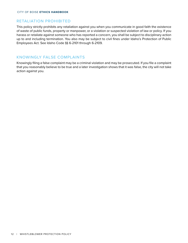#### <span id="page-11-0"></span>RETALIATION PROHIBITED

This policy strictly prohibits any retaliation against you when you communicate in good faith the existence of waste of public funds, property or manpower, or a violation or suspected violation of law or policy. If you harass or retaliate against someone who has reported a concern, you shall be subject to disciplinary action up to and including termination. You also may be subject to civil fines under Idaho's Protection of Public Employees Act. See Idaho Code §§ 6-2101 through 6-2109.

#### KNOWINGLY FALSE COMPLAINTS

Knowingly filing a false complaint may be a criminal violation and may be prosecuted. If you file a complaint that you reasonably believe to be true and a later investigation shows that it was false, the city will not take action against you.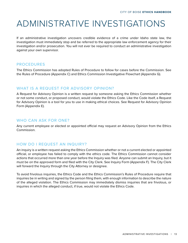## <span id="page-12-0"></span>ADMINISTRATIVE INVESTIGATIONS

If an administrative investigation uncovers credible evidence of a crime under Idaho state law, the investigation must immediately stop and be referred to the appropriate law enforcement agency for their investigation and/or prosecution. You will not ever be required to conduct an administrative investigation against your own supervisor.

#### PROCEDURES

The Ethics Commission has adopted Rules of Procedure to follow for cases before the Commission. See the Rules of Procedure (Appendix C) and Ethics Commission Investigative Flowchart (Appendix G).

### WHAT IS A REQUEST FOR ADVISORY OPINION?

A Request for Advisory Opinion is a written request by someone asking the Ethics Commission whether or not some conduct, or proposed conduct, would violate the Ethics Code. Like the Code itself, a Request for Advisory Opinion is a tool for you to use in making ethical choices. See Request for Advisory Opinion Form (Appendix E).

#### WHO CAN ASK FOR ONE?

Any current employee or elected or appointed official may request an Advisory Opinion from the Ethics Commission.

### HOW DO I REQUEST AN INQUIRY?

An inquiry is a written request asking the Ethics Commission whether or not a current elected or appointed official, or employee has failed to comply with the ethics code. The Ethics Commission cannot consider actions that occurred more than one year before the Inquiry was filed. Anyone can submit an Inquiry, but it must be on the approved form and filed with the City Clerk. See Inquiry Form (Appendix F). The City Clerk will forward the Inquiry through the City Attorney or designee.

To avoid frivolous inquiries, the Ethics Code and the Ethics Commission's Rules of Procedure require that inquiries be in writing and signed by the person filing them, with enough information to describe the nature of the alleged violation. The Ethics Commission may immediately dismiss inquiries that are frivolous, or inquiries in which the alleged conduct, if true, would not violate the Ethics Code.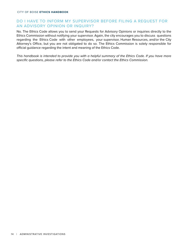### <span id="page-13-0"></span>DO I HAVE TO INFORM MY SUPERVISOR BEFORE FILING A REQUEST FOR AN ADVISORY OPINION OR INQUIRY?

No. The Ethics Code allows you to send your Requests for Advisory Opinions or inquiries directly to the Ethics Commission without notifying your supervisor. Again, the city encourages you to discuss questions regarding the Ethics Code with other employees, your supervisor, Human Resources, and/or the City Attorney's Office, but you are not obligated to do so. The Ethics Commission is solely responsible for official guidance regarding the intent and meaning of the Ethics Code.

*This handbook is intended to provide you with a helpful summary of the Ethics Code. If you have more specific questions, please refer to the Ethics Code and/or contact the Ethics Commission.*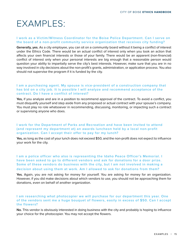## <span id="page-14-0"></span>EXAMPLES:

#### **I work as a Victim/Witness Coordinator for the Boise Police Department. Can I serve on the board of a non-profit community service organization that receives city funding?**

**Generally, yes.** As a city employee, you can sit on a community board without it being a conflict of interest under the Ethics Code. There would be an actual conflict of interest only when you took an action that affects your own financial interests or those of your family. There would be an apparent (non-financial) conflict of interest only when your personal interests are big enough that a reasonable person would question your ability to impartially serve the city's best interests. However, make sure that you are in no way involved in city decisions about the non-profit's grants, administration, or application process. You also should not supervise the program if it is funded by the city.

#### **I am a purchasing agent. My spouse is vice-president of a construction company that has bid on a city job. It is possible I will analyze and recommend acceptance of the contract. Do I have a conflict of interest?**

**Yes,** if you analyze and are in a position to recommend approval of the contract. To avoid a conflict, you must disqualify yourself and step aside from any proposed or actual contract with your spouse's company. You must play no role whatsoever in recommending, discussing, monitoring, or impacting such a contract or supervising anyone who does.

#### **I work for the Department of Parks and Recreation and have been invited to attend (and represent my department at) an awards luncheon held by a local non-profit organization. Can I accept their offer to pay for my lunch?**

**Yes,** as long as the cost of your lunch does not exceed \$50, and the non-profit does not expect to influence your work for the city.

**I am a police officer who also is representing the Idaho Peace Officer's Memorial. I have been asked to go to different vendors and ask for donations for a door prize. Some of these vendors do business with the city, but I am not involved in making a decision about using them at work. Am I allowed to ask for donations from them?**

**Yes.** Again, you are not asking for money for yourself. You are asking for money for an organization. However, if you did make decisions about which vendors to use, you should not be approaching them for donations, even on behalf of another organization.

#### **I am researching what photocopier we will purchase for our department this year. One of the vendors sent me a huge bouquet of flowers, easily in excess of \$50. Can I accept the flowers?**

**No.** This vendor is obviously interested in doing business with the city and probably is hoping to influence your choice for the photocopier. You may not accept the flowers.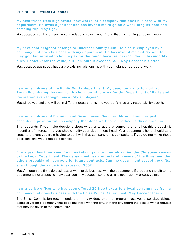**My best friend from high school now works for a company that does business with my department. He owns a jet boat and has invited me to go on a week-long jet boat and camping trip. May I go?**

**Yes,** because you have a pre-existing relationship with your friend that has nothing to do with work.

**My next-door neighbor belongs to Hillcrest Country Club. He also is employed by a company that does business with my department. He has invited me and my wife to play golf but refused to let me pay for the round because it is included in his monthly dues. I don't know the value, but I am sure it exceeds \$50. May I accept his offer?**

**Yes,** because again, you have a pre-existing relationship with your neighbor outside of work.

**I am an employee of the Public Works department. My daughter wants to work at Borah Pool during the summer. Is she allowed to work for the Department of Parks and Recreation even though I am a City employee?**

**Yes,** since you and she will be in different departments and you don't have any responsibility over her.

#### **I am an employee of Planning and Development Services. My adult son has just accepted a position with a company that does work for our office. Is this a problem?**

**That depends.** If you make decisions about whether to use that company or another, this probably is a conflict of interest, and you should notify your department head. Your department head should take steps to prevent you from having to deal with that company or its competitors. If you do not make those decisions, this would not be a conflict.

**Every year, law firms send food baskets or popcorn barrels during the Christmas season to the Legal Department. The department has contracts with many of the firms, and the others probably will compete for future contracts. Can the department accept the gifts, even though the value is in excess of \$50?**

**Yes.** Although the firms do business or want to do business with the department, if they send the gift to the department, not a specific individual, you may accept it so long as it is not a clearly excessive gift.

#### **I am a police officer who has been offered 20 free tickets to a local performance from a company that does business with the Boise Police Department. May I accept them?**

The Ethics Commission recommends that if a city department or program receives unsolicited tickets, especially from a company that does business with the city, that the city return the tickets with a request that they be given to the community.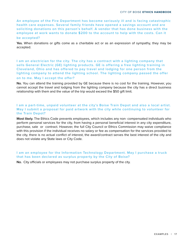**An employee of the Fire Department has become seriously ill and is facing catastrophic health care expenses. Several family friends have opened a savings account and are soliciting donations on this person's behalf. A vendor that has done business with the employee at work wants to donate \$200 to the account to help with the costs. Can it** 

#### **be accepted?**

**Yes.** When donations or gifts come as a charitable act or as an expression of sympathy, they may be accepted.

**I am an electrician for the city. The city has a contract with a lighting company that sells General Electric (GE) lighting products. GE is offering a free lighting training in Cleveland, Ohio and has offered to pay travel and lodging for one person from the lighting company to attend the lighting school. The lighting company passed the offer on to me. May I accept the offer?**

**No.** You can attend the training provided by GE because there is no cost for the training. However, you cannot accept the travel and lodging from the lighting company because the city has a direct business relationship with them and the value of the trip would exceed the \$50 gift limit.

#### **I am a part-time, unpaid volunteer at the city's Boise Train Depot and also a local artist. May I submit a proposal for paid artwork with the city while continuing to volunteer for the Train Depot?**

**Most likely.** The Ethics Code prevents employees, which includes any non- compensated individuals who perform personal services for the city, from having a personal beneficial interest in any city expenditure, purchase, sale or contract. However, the full City Council or Ethics Commission may waive compliance with this provision if the individual receives no salary or fee as compensation for the services provided to the city, there is no actual conflict of interest, the award/contract serves the best interest of the city and does not violate any State laws or City Code.

#### **I am an employee for the Information Technology Department. May I purchase a truck that has been declared as surplus property by the City of Boise?**

**No.** City officials or employees may not purchase surplus property of the city.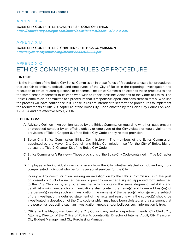### <span id="page-17-0"></span>APPENDIX A **BOISE CITY CODE - TITLE 1, CHAPTER 8 - CODE OF ETHICS https://codelibrary.amlegal.com/codes/boiseid/latest/boise\_id/0-0-0-235**

### APPENDIX B

#### **BOISE CITY CODE - TITLE 2, CHAPTER 12 - ETHICS COMMISSION http://cityclerk.cityofboise.org/media/223320/0224.pdf**

## APPENDIX C ETHICS COMMISSION RULES OF PROCEDURE

#### **I. INTENT**

It is the intention of the Boise City Ethics Commission in these Rules of Procedure to establish procedures that are fair to officers, officials, and employees of the City of Boise in the reporting, investigation and resolution of ethics-related questions or concerns. The Ethics Commission extends these procedures and the same sense of fairness to citizens who wish to report possible violations of the Code of Ethics. The Ethics Commission is committed to a procedure that is responsive, open, and consistent so that all who use the process will have confidence in it. These Rules are intended to set forth the procedures to implement the requirements of Title 2, Chapter 12, of the Boise City Code enacted by the Boise City Council on April 15, 2004 and are effective May 1, 2004.

#### **II. DEFINITIONS**

- A. Advisory Opinion An opinion issued by the Ethics Commission regarding whether past, present or proposed conduct by an official, officer, or employee of the City violates or would violate the provisions of Title 1, Chapter 8, of the Boise City Code or any related provision.
- B. Boise City Ethics Commission (Ethics Commission) The members of the Ethics Commission appointed by the Mayor, City Council, and Ethics Commission itself for the City of Boise, Idaho, pursuant to Title 2, Chapter 12, of the Boise City Code.
- C. Ethics Commission's Purview Those provisions of the Boise City Code contained in Title 1, Chapter 8.
- D. Employee An individual drawing a salary from the City, whether elected or not, and any noncompensated individual who performs personal services for the City.
- E. Inquiry Any communication seeking an investigation by the Ethics Commission into the past or present conduct of a named person or persons on either a signed, approved form submitted to the City Clerk or by any other manner which contains the same degree of reliability and detail. At a minimum, such communications shall contain the name(s) and home address(es) of the person(s) seeking such an investigation; the name(s) of the person(s) who is(are) the subject of the investigation; a detailed statement of the facts and reasons why the subject(s) should be investigated; a description of the City code(s) which may have been violated; and a statement that the person(s) requesting such an investigation knows and/or believes such information is true.
- F. Officer The Mayor, members of the City Council, any and all department heads, City Clerk, City Attorney, Director of the Office of Police Accountability, Director of Internal Audit, City Treasurer, City Budget Manager, and City Purchasing Manager.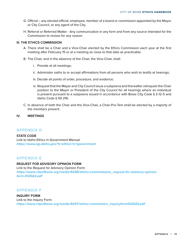- <span id="page-18-0"></span>G. Official – any elected official, employee, member of a board or commission appointed by the Mayor or City Council, or any agent of the City.
- H. Referral or Referred Matter Any communication in any form and from any source intended for the Commission to review for any reason.

#### **III. THE ETHICS COMMISSION**

- A. There shall be a Chair and a Vice-Chair elected by the Ethics Commission each year at the first meeting after February 15 or at a meeting as close to that date as practicable.
- B. The Chair, and in the absence of the Chair, the Vice-Chair, shall:
	- i. Preside at all meetings;
	- ii. Administer oaths to or accept affirmations from all persons who wish to testify at hearings;
	- iii. Decide all points of order, procedure, and evidence;
	- iv. Request that the Mayor and City Council issue a subpoena and thereafter relinquish the Chair position to the Mayor or President of the City Council for all hearings where an individual is present pursuant to a subpoena issued in accordance with Boise City Code § 2-12-5 and Idaho Code § 50-216.
- C. In absence of both the Chair and the Vice-Chair, a Chair-Pro-Tem shall be elected by a majority of the members present.
- **IV. MEETINGS**

### APPENDIX D

**STATE CODE** Link to Idaho Ethics in Government Manual: **https://www.ag.idaho.gov/?s=ethics+in+government**

### APPENDIX E

#### **REQUEST FOR ADVISORY OPINION FORM**

Link to the Request for Advisory Opinion Form: **https://www.cityofboise.org/media/9258/ethics-commmission\_request-for-advisory-opinionform-012022.pdf**

#### APPENDIX F

## **INQUIRY FORM**

Link to the Inquiry Form: **https://www.cityofboise.org/media/9257/ethics-commission\_inquiryform012022.pdf**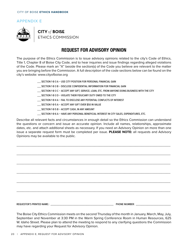#### <span id="page-19-0"></span>APPENDIX E



**CITY of BOISE** ETHICS COMMISSION

## **REQUEST FOR ADVISORY OPINION**

The purpose of the Ethics Commission is to issue advisory opinions related to the city's Code of Ethics, Title 1, Chapter 8 of Boise City Code, and to hear inquiries and issue findings regarding alleged violations of the Code. Please mark an "X" beside the section(s) of the Code you believe are relevant to the matter you are bringing before the Commission. A full description of the code sections below can be found on the city's website: www.cityofboise.org

- \_\_\_ SECTION 1-8-3 A USE CITY POSITION FOR PERSONAL FINANCIAL GAIN
- \_\_\_ SECTION 1-8-3 B DISCLOSE CONFIDENTIAL INFORMATION FOR FINANCIAL GAIN
- \_\_\_ SECTION 1-8-3 C ACCEPT ANY GIFT, SERVICE, LOAN, ETC. FROM ANYONE DOING BUSINESS WITH THE CITY
- \_\_\_ SECTION 1-8-3 D VIOLATE THEIR FIDUCIARY DUTY OWED TO THE CITY
- \_\_\_ SECTION 1-8-4 A FAIL TO DISCLOSE ANY POTENTIAL CONFLICTS OF INTEREST
- \_\_\_ SECTION 1-8-5 A ACCEPT ANY GIFT OVER \$50 IN VALUE
- \_\_\_ SECTION 1-8-5 B ACCEPT CASH, IN ANY AMOUNT
- \_\_\_ SECTION 1-8-6 A HAVE ANY PERSONAL BENEFICIAL INTEREST IN CITY SALES, EXPENDITURES, ETC.

Describe all relevant facts and circumstances in enough detail so the Ethics Commission can understand the questions or concern and issue an accurate opinion. Include all names, relationships, approximate dates, etc. and attach additional sheets as necessary. If you need an Advisory Opinion on more than one issue a separate request form must be completed per issue. **PLEASE NOTE:** all requests and Advisory Opinions may be available to the public.

\_\_\_\_\_\_\_\_\_\_\_\_\_\_\_\_\_\_\_\_\_\_\_\_\_\_\_\_\_\_\_\_\_\_\_\_\_\_\_\_\_\_\_\_\_\_\_\_\_\_\_\_\_\_\_\_\_\_\_\_\_\_\_\_\_\_\_\_\_\_\_\_\_\_\_\_\_\_\_\_\_\_\_\_\_\_\_\_\_\_\_\_\_\_\_\_\_\_\_\_\_\_\_\_\_\_\_\_\_\_\_\_\_\_\_\_\_\_\_\_\_\_\_\_\_\_\_\_\_\_\_\_

\_\_\_\_\_\_\_\_\_\_\_\_\_\_\_\_\_\_\_\_\_\_\_\_\_\_\_\_\_\_\_\_\_\_\_\_\_\_\_\_\_\_\_\_\_\_\_\_\_\_\_\_\_\_\_\_\_\_\_\_\_\_\_\_\_\_\_\_\_\_\_\_\_\_\_\_\_\_\_\_\_\_\_\_\_\_\_\_\_\_\_\_\_\_\_\_\_\_\_\_\_\_\_\_\_\_\_\_\_\_\_\_\_\_\_\_\_\_\_\_\_\_\_\_\_\_\_\_\_\_\_\_

\_\_\_\_\_\_\_\_\_\_\_\_\_\_\_\_\_\_\_\_\_\_\_\_\_\_\_\_\_\_\_\_\_\_\_\_\_\_\_\_\_\_\_\_\_\_\_\_\_\_\_\_\_\_\_\_\_\_\_\_\_\_\_\_\_\_\_\_\_\_\_\_\_\_\_\_\_\_\_\_\_\_\_\_\_\_\_\_\_\_\_\_\_\_\_\_\_\_\_\_\_\_\_\_\_\_\_\_\_\_\_\_\_\_\_\_\_\_\_\_\_\_\_\_\_\_\_\_\_\_\_\_

\_\_\_\_\_\_\_\_\_\_\_\_\_\_\_\_\_\_\_\_\_\_\_\_\_\_\_\_\_\_\_\_\_\_\_\_\_\_\_\_\_\_\_\_\_\_\_\_\_\_\_\_\_\_\_\_\_\_\_\_\_\_\_\_\_\_\_\_\_\_\_\_\_\_\_\_\_\_\_\_\_\_\_\_\_\_\_\_\_\_\_\_\_\_\_\_\_\_\_\_\_\_\_\_\_\_\_\_\_\_\_\_\_\_\_\_\_\_\_\_\_\_\_\_\_\_\_\_\_\_\_\_

\_\_\_\_\_\_\_\_\_\_\_\_\_\_\_\_\_\_\_\_\_\_\_\_\_\_\_\_\_\_\_\_\_\_\_\_\_\_\_\_\_\_\_\_\_\_\_\_\_\_\_\_\_\_\_\_\_\_\_\_\_\_\_\_\_\_\_\_\_\_\_\_\_\_\_\_\_\_\_\_\_\_\_\_\_\_\_\_\_\_\_\_\_\_\_\_\_\_\_\_\_\_\_\_\_\_\_\_\_\_\_\_\_\_\_\_\_\_\_\_\_\_\_\_\_\_\_\_\_\_\_\_

\_\_\_\_\_\_\_\_\_\_\_\_\_\_\_\_\_\_\_\_\_\_\_\_\_\_\_\_\_\_\_\_\_\_\_\_\_\_\_\_\_\_\_\_\_\_\_\_\_\_\_\_\_\_\_\_\_\_\_\_\_\_\_\_\_\_\_\_\_\_\_\_\_\_\_\_\_\_\_\_\_\_\_\_\_\_\_\_\_\_\_\_\_\_\_\_\_\_\_\_\_\_\_\_\_\_\_\_\_\_\_\_\_\_\_\_\_\_\_\_\_\_\_\_\_\_\_\_\_\_\_\_

REQUESTOR'S PRINTED NAME:: \_\_\_\_\_\_\_\_\_\_\_\_\_\_\_\_\_\_\_\_\_\_\_\_\_\_\_\_\_\_\_\_\_\_\_\_\_\_\_\_\_\_\_\_\_\_\_\_\_\_\_\_\_\_ PHONE NIUMBER: \_\_\_\_\_\_\_\_\_\_\_\_\_\_\_\_\_\_\_\_\_\_\_\_\_\_\_\_\_\_

The Boise City Ethics Commission meets on the second Thursday of the month in January, March, May, July, September and November at 3:30 PM in the Warm Spring Conference Room in Human Resources, 625 W. Idaho Street. Please plan to attend the meeting to respond to any clarifying questions the Commission may have regarding your Request for Advisory Opinion.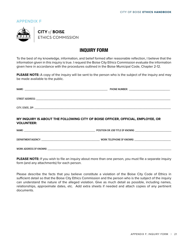### <span id="page-20-0"></span>APPENDIX F



**CITY of BOISE** ETHICS COMMISSION

## **INQUIRY FORM**

To the best of my knowledge, information, and belief formed after reasonable reflection, I believe that the information given in this inquiry is true. I request the Boise City Ethics Commission evaluate the information given here in accordance with the procedures outlined in the Boise Municipal Code, Chapter 2-12.

**PLEASE NOTE:** A copy of the inquiry will be sent to the person who is the subject of the inquiry and may be made available to the public.

| NAME:<br>the control of the control of the control of the control of the control of the control of the control of the control of the control of the control of the control of the control of the control of the control of the control | <b>PHONE NUMBER:</b><br><u> 1980 - Jan Barbara, martin da shekara 1980 - An tsa a tsa a tsa a tsa a tsa a tsa a tsa a tsa a tsa a tsa a t</u> |
|----------------------------------------------------------------------------------------------------------------------------------------------------------------------------------------------------------------------------------------|-----------------------------------------------------------------------------------------------------------------------------------------------|
|                                                                                                                                                                                                                                        |                                                                                                                                               |
| STREET ADDRESS:<br>the contract of the contract of the contract of the contract of the contract of the contract of the                                                                                                                 |                                                                                                                                               |
|                                                                                                                                                                                                                                        |                                                                                                                                               |
|                                                                                                                                                                                                                                        |                                                                                                                                               |

**MY INQUIRY IS ABOUT THE FOLLOWING CITY OF BOISE OFFICER, OFFICIAL, EMPLOYEE, OR VOLUNTEER:**

NAME: \_\_\_\_\_\_\_\_\_\_\_\_\_\_\_\_\_\_\_\_\_\_\_\_\_\_\_\_\_\_\_\_\_\_\_\_\_\_\_\_\_\_\_\_\_\_\_\_\_\_\_\_\_\_\_\_\_\_\_\_\_ POSITION OR JOB TITLE (IF KNOWN): \_\_\_\_\_\_\_\_\_\_\_\_\_\_\_\_\_\_\_\_\_\_\_\_\_\_\_\_\_\_\_ DEPARTMENT/AGENCY: \_\_\_\_\_\_\_\_\_\_\_\_\_\_\_\_\_\_\_\_\_\_\_\_\_\_\_\_\_\_\_\_\_\_\_\_\_\_\_\_\_\_\_\_\_\_\_\_\_\_ WORK TELEPHONE (IF KNOWN): \_\_\_\_\_\_\_\_\_\_\_\_\_\_\_\_\_\_\_\_\_\_\_\_\_\_\_\_\_\_\_

WORK ADDRESS (IF KNOWN): \_\_\_\_\_\_\_\_\_\_\_\_\_\_\_\_\_\_\_\_\_\_\_\_\_\_\_\_\_\_\_\_\_\_\_\_\_\_\_\_\_\_\_\_\_\_\_\_\_\_\_\_\_\_\_\_\_\_\_\_\_\_\_\_\_\_\_\_\_\_\_\_\_\_\_\_\_\_\_\_\_\_\_\_\_\_\_\_\_\_\_\_\_\_\_\_\_\_\_\_\_\_\_\_\_\_

**PLEASE NOTE:** If you wish to file an inquiry about more than one person, you must file a separate inquiry form (and any attachments) for each person.

Please describe the facts that you believe constitute a violation of the Boise City Code of Ethics in sufficient detail so that the Boise City Ethics Commission and the person who is the subject of the inquiry can understand the nature of the alleged violation. Give as much detail as possible, including names, relationships, approximate dates, etc. Add extra sheets if needed and attach copies of any pertinent documents.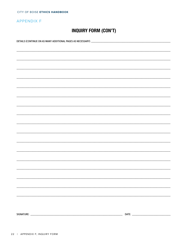CITY OF BOISE ETHICS HANDBOOK

## **APPENDIX F**

## **INQUIRY FORM (CON'T)**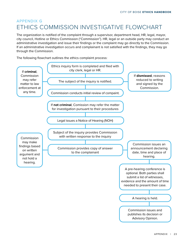## <span id="page-22-0"></span>APPENDIX G ETHICS COMMISSION INVESTIGATIVE FLOWCHART

The organization is notified of the complaint through a supervisor, department head, HR, legal, mayor, city council, Hotline or Ethics Commission ("Commission"). HR, legal or an outside party may conduct an administrative investigation and issue their findings or the complaint may go directly to the Commission. If an administrative investigation occurs and complainant is not satisfied with the findings, they may go through the Commission.

The following flowchart outlines the ethics complaint process:

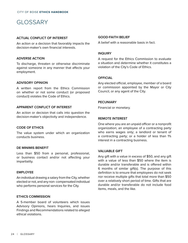## <span id="page-23-0"></span>GLOSSARY

#### **ACTUAL CONFLICT OF INTEREST**

An action or a decision that favorably impacts the decision-maker's own financial interests.

#### **ADVERSE ACTION**

To discharge, threaten or otherwise discriminate against someone in any manner that affects your employment.

#### **ADVISORY OPINION**

A written report from the Ethics Commission on whether or not some conduct (or proposed conduct) violates the Code of Ethics.

#### **APPARENT CONFLICT OF INTEREST**

An action or decision that calls into question the decision-maker's objectivity and independence.

#### **CODE OF ETHICS**

The value system under which an organization conducts business.

#### **DE MINIMIS BENEFIT**

Less than \$50 from a personal, professional, or business contact and/or not affecting your impartiality.

#### **EMPLOYEE**

An individual drawing a salary from the City, whether elected or not, and any non- compensated individual who performs personal services for the City.

#### **ETHICS COMMISSION**

A 5-member board of volunteers which issues Advisory Opinions, hears Inquiries, and issues Findings and Recommendations related to alleged ethical violations.

#### **GOOD-FAITH BELIEF**

A belief with a reasonable basis in fact.

#### **INQUIRY**

A request for the Ethics Commission to evaluate a situation and determine whether it constitutes a violation of the City's Code of Ethics.

#### **OFFICIAL**

Any elected official, employee, member of a board or commission appointed by the Mayor or City Council, or any agent of the City.

#### **PECUNIARY**

Financial or monetary.

#### **REMOTE INTEREST**

One where you are an unpaid officer or a nonprofit organization; an employee of a contracting party who earns wages only; a landlord or tenant of a contracting party; or a holder of less than 1% interest in a contracting business.

#### **VALUABLE GIFT**

Any gift with a value in excess of \$50, and any gift with a value of less than \$50 where the item is durable and/or transferable and is offered within 6 months of similar gift(s). The purpose of this definition is to ensure that employees do not seek nor receive multiple gifts that total more than \$50 over a relatively short period of time. Gifts that are durable and/or transferable do not include food items, meals, and the like.